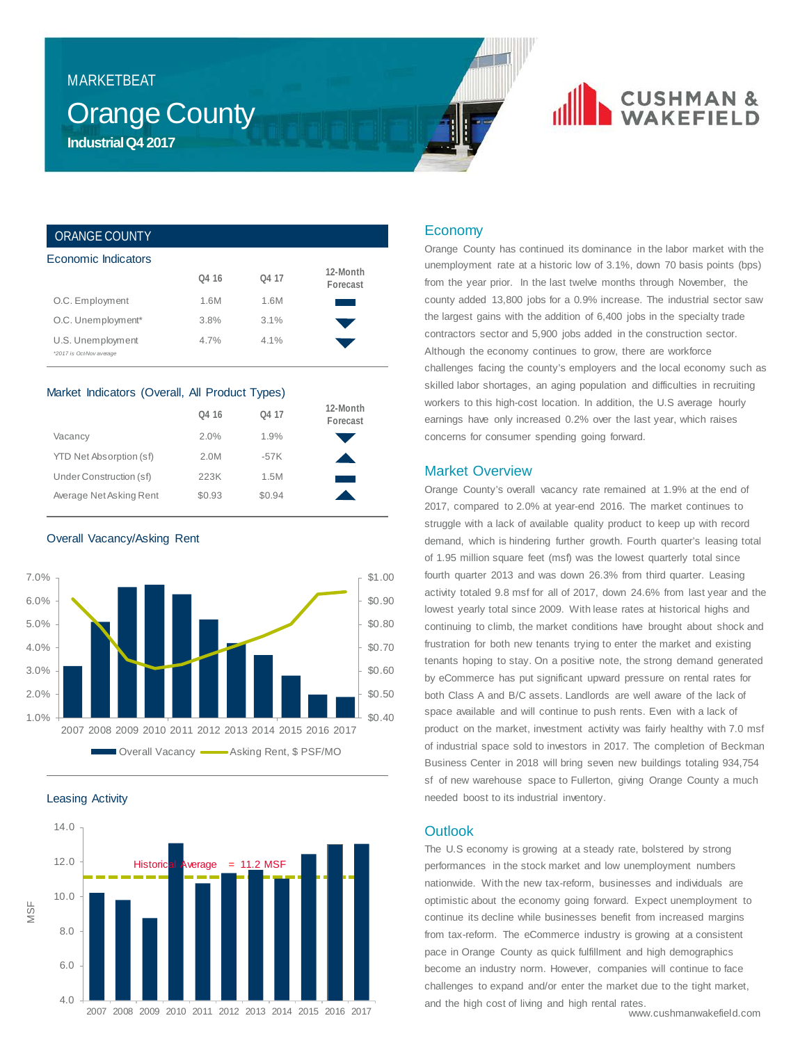### MARKETBEAT

## **Orange County Industrial Q4 2017**

# **CUSHMAN &**<br>WAKEFIELD

### ORANGE COUNTY

| Economic Indicators                           |                   |       |                      |
|-----------------------------------------------|-------------------|-------|----------------------|
|                                               | O <sub>4</sub> 16 | O4 17 | 12-Month<br>Forecast |
| O.C. Employment                               | 1.6M              | 1.6M  |                      |
| O.C. Unemployment*                            | 3.8%              | 3.1%  |                      |
| U.S. Unemployment<br>*2017 is Oct-Nov average | 4.7%              | 4.1%  |                      |

### Market Indicators (Overall, All Product Types)

|                         | O <sub>4</sub> 16 | O <sub>4</sub> 17 | 12-Month<br>Forecast |
|-------------------------|-------------------|-------------------|----------------------|
| Vacancy                 | 2.0%              | 1.9%              |                      |
| YTD Net Absorption (sf) | 2.0M              | $-57K$            |                      |
| Under Construction (sf) | 223K              | 1.5M              |                      |
| Average Net Asking Rent | \$0.93            | \$0.94            |                      |

Overall Vacancy/Asking Rent



Leasing Activity



### Economy

Orange County has continued its dominance in the labor market with the unemployment rate at a historic low of 3.1%, down 70 basis points (bps) from the year prior. In the last twelve months through November, the county added 13,800 jobs for a 0.9% increase. The industrial sector saw the largest gains with the addition of 6,400 jobs in the specialty trade contractors sector and 5,900 jobs added in the construction sector. Although the economy continues to grow, there are workforce challenges facing the county's employers and the local economy such as skilled labor shortages, an aging population and difficulties in recruiting workers to this high-cost location. In addition, the U.S average hourly earnings have only increased 0.2% over the last year, which raises concerns for consumer spending going forward.

### Market Overview

Orange County's overall vacancy rate remained at 1.9% at the end of 2017, compared to 2.0% at year-end 2016. The market continues to struggle with a lack of available quality product to keep up with record demand, which is hindering further growth. Fourth quarter's leasing total of 1.95 million square feet (msf) was the lowest quarterly total since fourth quarter 2013 and was down 26.3% from third quarter. Leasing activity totaled 9.8 msf for all of 2017, down 24.6% from last year and the lowest yearly total since 2009. With lease rates at historical highs and continuing to climb, the market conditions have brought about shock and frustration for both new tenants trying to enter the market and existing tenants hoping to stay. On a positive note, the strong demand generated by eCommerce has put significant upward pressure on rental rates for both Class A and B/C assets. Landlords are well aware of the lack of space available and will continue to push rents. Even with a lack of product on the market, investment activity was fairly healthy with 7.0 msf of industrial space sold to investors in 2017. The completion of Beckman Business Center in 2018 will bring seven new buildings totaling 934,754 sf of new warehouse space to Fullerton, giving Orange County a much needed boost to its industrial inventory.

### **Outlook**

The U.S economy is growing at a steady rate, bolstered by strong performances in the stock market and low unemployment numbers nationwide. With the new tax-reform, businesses and individuals are optimistic about the economy going forward. Expect unemployment to continue its decline while businesses benefit from increased margins from tax-reform. The eCommerce industry is growing at a consistent pace in Orange County as quick fulfillment and high demographics become an industry norm. However, companies will continue to face challenges to expand and/or enter the market due to the tight market, and the high cost of living and high rental rates.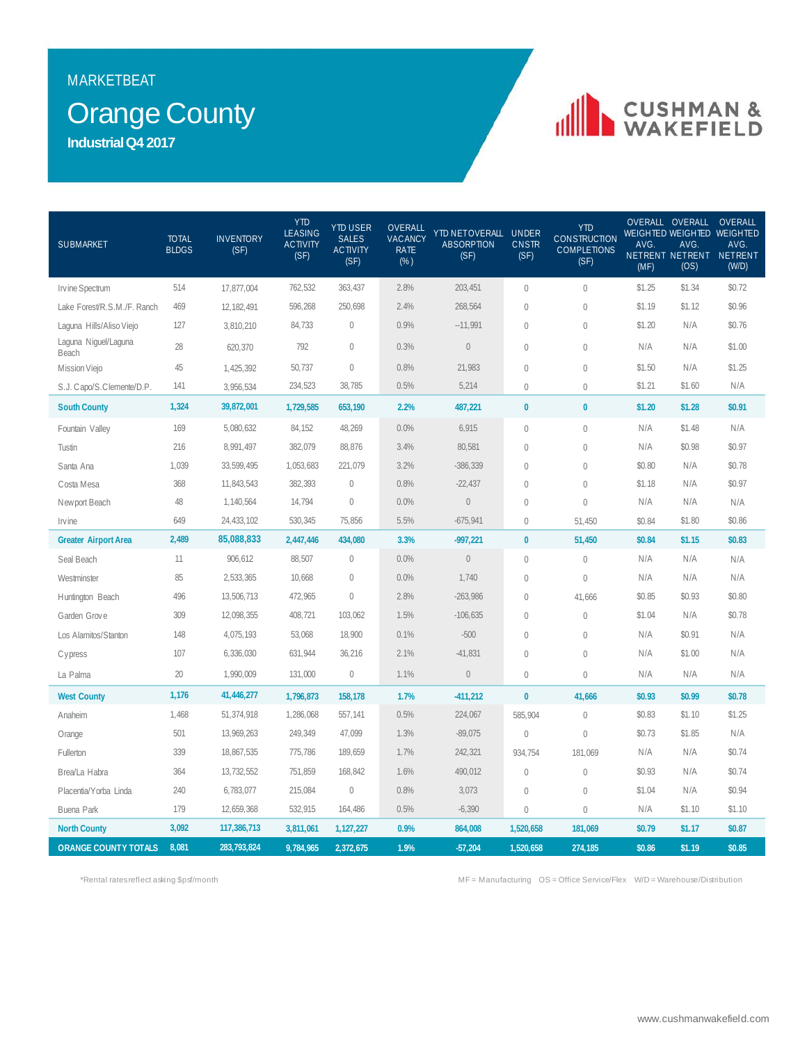### MARKETBEAT

## Orange County

**Industrial Q4 2017**

# **IN CUSHMAN &**

| <b>SUBMARKET</b>              | <b>TOTAL</b><br><b>BLDGS</b> | <b>INVENTORY</b><br>(SF) | <b>YTD</b><br><b>LEASING</b><br><b>ACTIVITY</b><br>(SF) | <b>YTD USER</b><br><b>SALES</b><br><b>ACTIVITY</b><br>(SF) | OVERALL<br>VACANCY<br><b>RATE</b><br>$(\%)$ | YTD NETOVERALL UNDER<br><b>ABSORPTION</b><br>(SF) | <b>CNSTR</b><br>(SF) | <b>YTD</b><br><b>CONSTRUCTION</b><br><b>COMPLETIONS</b><br>(SF) | AVG.<br>(MF) | OVERALL OVERALL<br>AVG.<br>(OS) | <b>OVERALL</b><br>WEIGHTED WEIGHTED WEIGHTED<br>AVG.<br>NETRENT NETRENT NETRENT<br>(W/D) |
|-------------------------------|------------------------------|--------------------------|---------------------------------------------------------|------------------------------------------------------------|---------------------------------------------|---------------------------------------------------|----------------------|-----------------------------------------------------------------|--------------|---------------------------------|------------------------------------------------------------------------------------------|
| Irvine Spectrum               | 514                          | 17,877,004               | 762,532                                                 | 363,437                                                    | 2.8%                                        | 203,451                                           | $\mathbf 0$          | $\overline{0}$                                                  | \$1.25       | \$1.34                          | \$0.72                                                                                   |
| Lake Forest/R.S.M./F. Ranch   | 469                          | 12,182,491               | 596,268                                                 | 250,698                                                    | 2.4%                                        | 268,564                                           | $\theta$             | $\mathbf{0}$                                                    | \$1.19       | \$1.12                          | \$0.96                                                                                   |
| Laguna Hills/Aliso Viejo      | 127                          | 3,810,210                | 84,733                                                  | $\mathbf 0$                                                | 0.9%                                        | $-11,991$                                         | $\theta$             | $\mathbf{0}$                                                    | \$1.20       | N/A                             | \$0.76                                                                                   |
| Laguna Niguel/Laguna<br>Beach | 28                           | 620,370                  | 792                                                     | $\mathbf 0$                                                | 0.3%                                        | $\bf 0$                                           | $\theta$             | $\mathbf 0$                                                     | N/A          | N/A                             | \$1.00                                                                                   |
| Mission Viejo                 | 45                           | 1,425,392                | 50,737                                                  | $\mathbf{0}$                                               | 0.8%                                        | 21,983                                            | $\theta$             | $\mathbf{0}$                                                    | \$1.50       | N/A                             | \$1.25                                                                                   |
| S.J. Capo/S. Clemente/D.P.    | 141                          | 3,956,534                | 234,523                                                 | 38,785                                                     | 0.5%                                        | 5,214                                             | $\theta$             | $\mathbf{0}$                                                    | \$1.21       | \$1.60                          | N/A                                                                                      |
| <b>South County</b>           | 1,324                        | 39,872,001               | 1,729,585                                               | 653,190                                                    | 2.2%                                        | 487,221                                           | $\pmb{0}$            | $\mathbf{0}$                                                    | \$1.20       | \$1.28                          | \$0.91                                                                                   |
| Fountain Valley               | 169                          | 5,080,632                | 84,152                                                  | 48,269                                                     | 0.0%                                        | 6,915                                             | $\mathbf 0$          | $\mathbb O$                                                     | N/A          | \$1.48                          | N/A                                                                                      |
| Tustin                        | 216                          | 8,991,497                | 382,079                                                 | 88,876                                                     | 3.4%                                        | 80,581                                            | $\theta$             | $\mathbf 0$                                                     | N/A          | \$0.98                          | \$0.97                                                                                   |
| Santa Ana                     | 1,039                        | 33,599,495               | 1,053,683                                               | 221,079                                                    | 3.2%                                        | $-386, 339$                                       | $\mathbf 0$          | $\mathbb O$                                                     | \$0.80       | N/A                             | \$0.78                                                                                   |
| Costa Mesa                    | 368                          | 11,843,543               | 382,393                                                 | $\mathbf 0$                                                | 0.8%                                        | $-22,437$                                         | $\theta$             | $\left( \right)$                                                | \$1.18       | N/A                             | \$0.97                                                                                   |
| Newport Beach                 | 48                           | 1,140,564                | 14,794                                                  | $\mathbf 0$                                                | 0.0%                                        | $\bf 0$                                           | $\theta$             | $\theta$                                                        | N/A          | N/A                             | N/A                                                                                      |
| Invine                        | 649                          | 24,433,102               | 530,345                                                 | 75,856                                                     | 5.5%                                        | $-675,941$                                        | $\theta$             | 51,450                                                          | \$0.84       | \$1.80                          | \$0.86                                                                                   |
| <b>Greater Airport Area</b>   | 2,489                        | 85,088,833               | 2,447,446                                               | 434,080                                                    | 3.3%                                        | $-997,221$                                        | $\bf{0}$             | 51,450                                                          | \$0.84       | \$1.15                          | \$0.83                                                                                   |
| Seal Beach                    | 11                           | 906,612                  | 88,507                                                  | $\mathbf 0$                                                | 0.0%                                        | $\bf 0$                                           | $\mathbf 0$          | $\theta$                                                        | N/A          | N/A                             | N/A                                                                                      |
| Westminster                   | 85                           | 2,533,365                | 10,668                                                  | $\mathbf 0$                                                | 0.0%                                        | 1,740                                             | $\theta$             | $\theta$                                                        | N/A          | N/A                             | N/A                                                                                      |
| Huntington Beach              | 496                          | 13,506,713               | 472,965                                                 | $\mathbb O$                                                | 2.8%                                        | $-263,986$                                        | $\mathbf 0$          | 41,666                                                          | \$0.85       | \$0.93                          | \$0.80                                                                                   |
| Garden Grove                  | 309                          | 12,098,355               | 408,721                                                 | 103,062                                                    | 1.5%                                        | $-106,635$                                        | $\overline{0}$       | $\mathbf{0}$                                                    | \$1.04       | N/A                             | \$0.78                                                                                   |
| Los Alamitos/Stanton          | 148                          | 4,075,193                | 53,068                                                  | 18,900                                                     | 0.1%                                        | $-500$                                            | $\theta$             | $\theta$                                                        | N/A          | \$0.91                          | N/A                                                                                      |
| <b>Cypress</b>                | 107                          | 6,336,030                | 631,944                                                 | 36,216                                                     | 2.1%                                        | $-41,831$                                         | $\theta$             | $\theta$                                                        | N/A          | \$1.00                          | N/A                                                                                      |
| La Palma                      | 20                           | 1,990,009                | 131,000                                                 | $\mathbf 0$                                                | 1.1%                                        | $\bf 0$                                           | $\theta$             | $\mathbf 0$                                                     | N/A          | N/A                             | N/A                                                                                      |
| <b>West County</b>            | 1,176                        | 41,446,277               | 1,796,873                                               | 158,178                                                    | 1.7%                                        | $-411,212$                                        | $\pmb{0}$            | 41,666                                                          | \$0.93       | \$0.99                          | \$0.78                                                                                   |
| Anaheim                       | 1,468                        | 51,374,918               | 1,286,068                                               | 557,141                                                    | 0.5%                                        | 224,067                                           | 585,904              | $\mathbf 0$                                                     | \$0.83       | \$1.10                          | \$1.25                                                                                   |
| Orange                        | 501                          | 13,969,263               | 249,349                                                 | 47,099                                                     | 1.3%                                        | $-89,075$                                         | $\mathbf 0$          | $\mathbf 0$                                                     | \$0.73       | \$1.85                          | N/A                                                                                      |
| Fullerton                     | 339                          | 18,867,535               | 775,786                                                 | 189,659                                                    | 1.7%                                        | 242,321                                           | 934,754              | 181,069                                                         | N/A          | N/A                             | \$0.74                                                                                   |
| Brea/La Habra                 | 364                          | 13,732,552               | 751,859                                                 | 168,842                                                    | 1.6%                                        | 490,012                                           | $\mathbf{0}$         | $\theta$                                                        | \$0.93       | N/A                             | \$0.74                                                                                   |
| Placentia/Yorba Linda         | 240                          | 6,783,077                | 215,084                                                 | $\mathbb O$                                                | 0.8%                                        | 3,073                                             | $\mathbf{0}$         | $\theta$                                                        | \$1.04       | N/A                             | \$0.94                                                                                   |
| Buena Park                    | 179                          | 12,659,368               | 532,915                                                 | 164,486                                                    | 0.5%                                        | $-6,390$                                          | $\mathbf 0$          | $\mathbf 0$                                                     | N/A          | \$1.10                          | \$1.10                                                                                   |
| <b>North County</b>           | 3,092                        | 117,386,713              | 3,811,061                                               | 1,127,227                                                  | 0.9%                                        | 864,008                                           | 1,520,658            | 181,069                                                         | \$0.79       | \$1.17                          | \$0.87                                                                                   |
| <b>ORANGE COUNTY TOTALS</b>   | 8,081                        | 283,793,824              | 9,784,965                                               | 2,372,675                                                  | 1.9%                                        | $-57,204$                                         | 1,520,658            | 274,185                                                         | \$0.86       | \$1.19                          | \$0.85                                                                                   |

\*Rental rates reflect asking \$psf/month MF = Manufacturing OS = Office Service/Flex W/D = Warehouse/Distribution